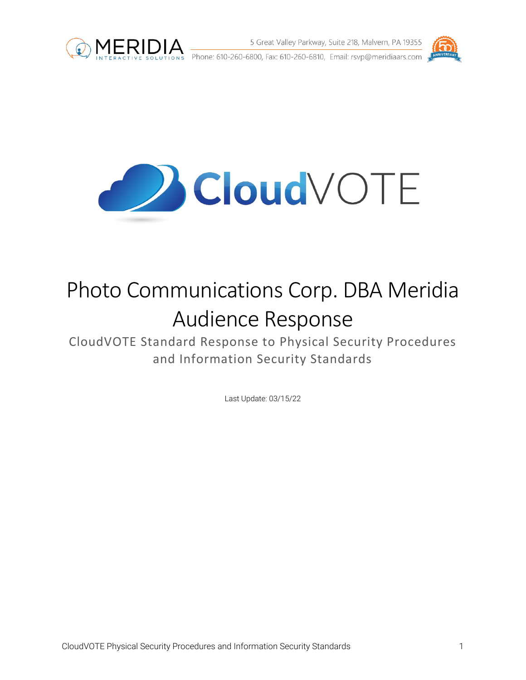

S Great Valley Parkway, Suite 218, Malvern, PA 19355<br>INTERACTIVE SOLUTIONS Phone: 610-260-6800, Fax: 610-260-6810, Email: rsvp@meridiaars.com





# Photo Communications Corp. DBA Meridia Audience Response

CloudVOTE Standard Response to Physical Security Procedures and Information Security Standards

Last Update: 03/15/22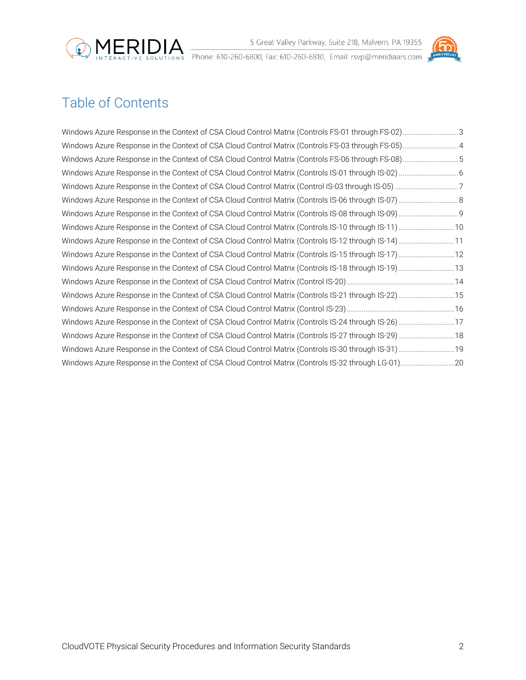



## Table of Contents

| Windows Azure Response in the Context of CSA Cloud Control Matrix (Controls FS-01 through FS-02)3    |  |
|------------------------------------------------------------------------------------------------------|--|
|                                                                                                      |  |
| Windows Azure Response in the Context of CSA Cloud Control Matrix (Controls FS-06 through FS-08)5    |  |
|                                                                                                      |  |
|                                                                                                      |  |
|                                                                                                      |  |
|                                                                                                      |  |
| Windows Azure Response in the Context of CSA Cloud Control Matrix (Controls IS-10 through IS-11)  10 |  |
| Windows Azure Response in the Context of CSA Cloud Control Matrix (Controls IS-12 through IS-14) 11  |  |
|                                                                                                      |  |
|                                                                                                      |  |
|                                                                                                      |  |
| Windows Azure Response in the Context of CSA Cloud Control Matrix (Controls IS-21 through IS-22)  15 |  |
|                                                                                                      |  |
|                                                                                                      |  |
| Windows Azure Response in the Context of CSA Cloud Control Matrix (Controls IS-27 through IS-29)  18 |  |
|                                                                                                      |  |
|                                                                                                      |  |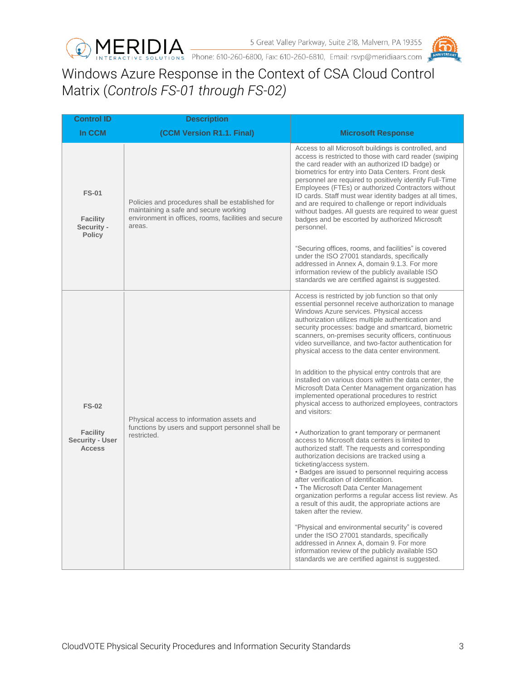



## <span id="page-2-0"></span>Windows Azure Response in the Context of CSA Cloud Control Matrix (*Controls FS-01 through FS-02)*

| <b>Control ID</b>                                                   | <b>Description</b>                                                                                                                                          |                                                                                                                                                                                                                                                                                                                                                                                                                                                                                                                                                                                                                                                                                                                                                                                                                                                                                                                                                                                                                                                                                                                                                                                                                                                                                                                                                                                                                                                                                                                    |
|---------------------------------------------------------------------|-------------------------------------------------------------------------------------------------------------------------------------------------------------|--------------------------------------------------------------------------------------------------------------------------------------------------------------------------------------------------------------------------------------------------------------------------------------------------------------------------------------------------------------------------------------------------------------------------------------------------------------------------------------------------------------------------------------------------------------------------------------------------------------------------------------------------------------------------------------------------------------------------------------------------------------------------------------------------------------------------------------------------------------------------------------------------------------------------------------------------------------------------------------------------------------------------------------------------------------------------------------------------------------------------------------------------------------------------------------------------------------------------------------------------------------------------------------------------------------------------------------------------------------------------------------------------------------------------------------------------------------------------------------------------------------------|
| In CCM                                                              | (CCM Version R1.1. Final)                                                                                                                                   | <b>Microsoft Response</b>                                                                                                                                                                                                                                                                                                                                                                                                                                                                                                                                                                                                                                                                                                                                                                                                                                                                                                                                                                                                                                                                                                                                                                                                                                                                                                                                                                                                                                                                                          |
| <b>FS-01</b><br><b>Facility</b><br>Security -<br><b>Policy</b>      | Policies and procedures shall be established for<br>maintaining a safe and secure working<br>environment in offices, rooms, facilities and secure<br>areas. | Access to all Microsoft buildings is controlled, and<br>access is restricted to those with card reader (swiping<br>the card reader with an authorized ID badge) or<br>biometrics for entry into Data Centers. Front desk<br>personnel are required to positively identify Full-Time<br>Employees (FTEs) or authorized Contractors without<br>ID cards. Staff must wear identity badges at all times,<br>and are required to challenge or report individuals<br>without badges. All guests are required to wear guest<br>badges and be escorted by authorized Microsoft<br>personnel.                                                                                                                                                                                                                                                                                                                                                                                                                                                                                                                                                                                                                                                                                                                                                                                                                                                                                                                               |
|                                                                     |                                                                                                                                                             | "Securing offices, rooms, and facilities" is covered<br>under the ISO 27001 standards, specifically<br>addressed in Annex A, domain 9.1.3. For more<br>information review of the publicly available ISO<br>standards we are certified against is suggested.                                                                                                                                                                                                                                                                                                                                                                                                                                                                                                                                                                                                                                                                                                                                                                                                                                                                                                                                                                                                                                                                                                                                                                                                                                                        |
| <b>FS-02</b><br><b>Facility</b><br>Security - User<br><b>Access</b> | Physical access to information assets and<br>functions by users and support personnel shall be<br>restricted.                                               | Access is restricted by job function so that only<br>essential personnel receive authorization to manage<br>Windows Azure services. Physical access<br>authorization utilizes multiple authentication and<br>security processes: badge and smartcard, biometric<br>scanners, on-premises security officers, continuous<br>video surveillance, and two-factor authentication for<br>physical access to the data center environment.<br>In addition to the physical entry controls that are<br>installed on various doors within the data center, the<br>Microsoft Data Center Management organization has<br>implemented operational procedures to restrict<br>physical access to authorized employees, contractors<br>and visitors:<br>• Authorization to grant temporary or permanent<br>access to Microsoft data centers is limited to<br>authorized staff. The requests and corresponding<br>authorization decisions are tracked using a<br>ticketing/access system.<br>• Badges are issued to personnel requiring access<br>after verification of identification.<br>• The Microsoft Data Center Management<br>organization performs a regular access list review. As<br>a result of this audit, the appropriate actions are<br>taken after the review.<br>"Physical and environmental security" is covered<br>under the ISO 27001 standards, specifically<br>addressed in Annex A, domain 9. For more<br>information review of the publicly available ISO<br>standards we are certified against is suggested. |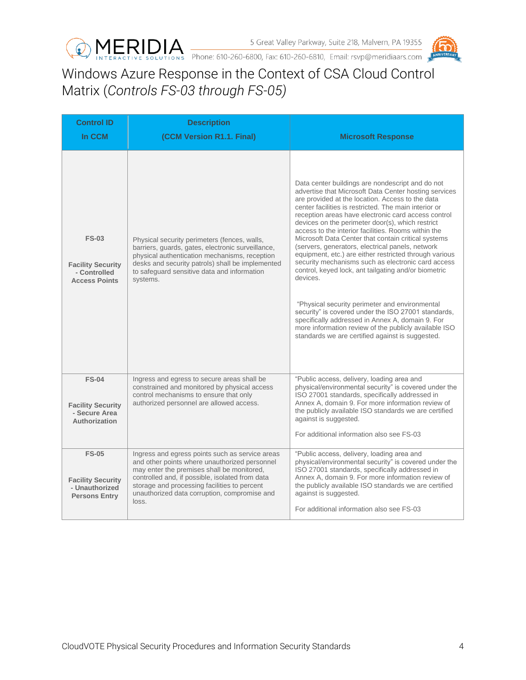



<span id="page-3-0"></span>Windows Azure Response in the Context of CSA Cloud Control Matrix (*Controls FS-03 through FS-05)*

| <b>Control ID</b><br>In CCM                                                        | <b>Description</b><br>(CCM Version R1.1. Final)                                                                                                                                                                                                                                                            | <b>Microsoft Response</b>                                                                                                                                                                                                                                                                                                                                                                                                                                                                                                                                                                                                                                                                                                                                                                                                                                                                                                                                         |
|------------------------------------------------------------------------------------|------------------------------------------------------------------------------------------------------------------------------------------------------------------------------------------------------------------------------------------------------------------------------------------------------------|-------------------------------------------------------------------------------------------------------------------------------------------------------------------------------------------------------------------------------------------------------------------------------------------------------------------------------------------------------------------------------------------------------------------------------------------------------------------------------------------------------------------------------------------------------------------------------------------------------------------------------------------------------------------------------------------------------------------------------------------------------------------------------------------------------------------------------------------------------------------------------------------------------------------------------------------------------------------|
| <b>FS-03</b><br><b>Facility Security</b><br>- Controlled<br><b>Access Points</b>   | Physical security perimeters (fences, walls,<br>barriers, guards, gates, electronic surveillance,<br>physical authentication mechanisms, reception<br>desks and security patrols) shall be implemented<br>to safeguard sensitive data and information<br>systems.                                          | Data center buildings are nondescript and do not<br>advertise that Microsoft Data Center hosting services<br>are provided at the location. Access to the data<br>center facilities is restricted. The main interior or<br>reception areas have electronic card access control<br>devices on the perimeter door(s), which restrict<br>access to the interior facilities. Rooms within the<br>Microsoft Data Center that contain critical systems<br>(servers, generators, electrical panels, network<br>equipment, etc.) are either restricted through various<br>security mechanisms such as electronic card access<br>control, keyed lock, ant tailgating and/or biometric<br>devices.<br>"Physical security perimeter and environmental<br>security" is covered under the ISO 27001 standards,<br>specifically addressed in Annex A, domain 9. For<br>more information review of the publicly available ISO<br>standards we are certified against is suggested. |
| <b>FS-04</b><br><b>Facility Security</b><br>- Secure Area<br>Authorization         | Ingress and egress to secure areas shall be<br>constrained and monitored by physical access<br>control mechanisms to ensure that only<br>authorized personnel are allowed access.                                                                                                                          | "Public access, delivery, loading area and<br>physical/environmental security" is covered under the<br>ISO 27001 standards, specifically addressed in<br>Annex A, domain 9. For more information review of<br>the publicly available ISO standards we are certified<br>against is suggested.<br>For additional information also see FS-03                                                                                                                                                                                                                                                                                                                                                                                                                                                                                                                                                                                                                         |
| <b>FS-05</b><br><b>Facility Security</b><br>- Unauthorized<br><b>Persons Entry</b> | Ingress and egress points such as service areas<br>and other points where unauthorized personnel<br>may enter the premises shall be monitored,<br>controlled and, if possible, isolated from data<br>storage and processing facilities to percent<br>unauthorized data corruption, compromise and<br>loss. | "Public access, delivery, loading area and<br>physical/environmental security" is covered under the<br>ISO 27001 standards, specifically addressed in<br>Annex A, domain 9. For more information review of<br>the publicly available ISO standards we are certified<br>against is suggested.<br>For additional information also see FS-03                                                                                                                                                                                                                                                                                                                                                                                                                                                                                                                                                                                                                         |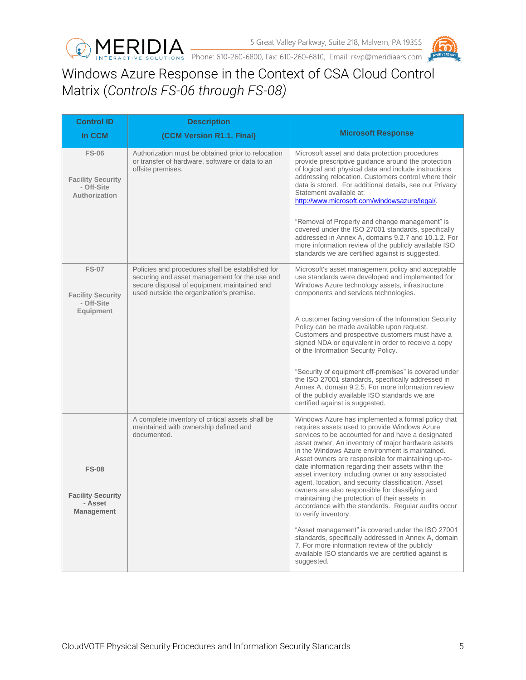



<span id="page-4-0"></span>Windows Azure Response in the Context of CSA Cloud Control Matrix (*Controls FS-06 through FS-08)*

| <b>Control ID</b>                                                       | <b>Description</b>                                                                                                                                                                           |                                                                                                                                                                                                                                                                                                                                                                                                                                                                                                                                                                                                 |
|-------------------------------------------------------------------------|----------------------------------------------------------------------------------------------------------------------------------------------------------------------------------------------|-------------------------------------------------------------------------------------------------------------------------------------------------------------------------------------------------------------------------------------------------------------------------------------------------------------------------------------------------------------------------------------------------------------------------------------------------------------------------------------------------------------------------------------------------------------------------------------------------|
| In CCM                                                                  | (CCM Version R1.1. Final)                                                                                                                                                                    | <b>Microsoft Response</b>                                                                                                                                                                                                                                                                                                                                                                                                                                                                                                                                                                       |
| <b>FS-06</b><br><b>Facility Security</b><br>- Off-Site<br>Authorization | Authorization must be obtained prior to relocation<br>or transfer of hardware, software or data to an<br>offsite premises.                                                                   | Microsoft asset and data protection procedures<br>provide prescriptive guidance around the protection<br>of logical and physical data and include instructions<br>addressing relocation. Customers control where their<br>data is stored. For additional details, see our Privacy<br>Statement available at:<br>http://www.microsoft.com/windowsazure/legal/.                                                                                                                                                                                                                                   |
|                                                                         |                                                                                                                                                                                              | "Removal of Property and change management" is<br>covered under the ISO 27001 standards, specifically<br>addressed in Annex A, domains 9.2.7 and 10.1.2. For<br>more information review of the publicly available ISO<br>standards we are certified against is suggested.                                                                                                                                                                                                                                                                                                                       |
| <b>FS-07</b><br><b>Facility Security</b><br>- Off-Site                  | Policies and procedures shall be established for<br>securing and asset management for the use and<br>secure disposal of equipment maintained and<br>used outside the organization's premise. | Microsoft's asset management policy and acceptable<br>use standards were developed and implemented for<br>Windows Azure technology assets, infrastructure<br>components and services technologies.                                                                                                                                                                                                                                                                                                                                                                                              |
| Equipment                                                               |                                                                                                                                                                                              | A customer facing version of the Information Security<br>Policy can be made available upon request.<br>Customers and prospective customers must have a<br>signed NDA or equivalent in order to receive a copy<br>of the Information Security Policy.                                                                                                                                                                                                                                                                                                                                            |
|                                                                         |                                                                                                                                                                                              | "Security of equipment off-premises" is covered under<br>the ISO 27001 standards, specifically addressed in<br>Annex A, domain 9.2.5. For more information review<br>of the publicly available ISO standards we are<br>certified against is suggested.                                                                                                                                                                                                                                                                                                                                          |
| <b>FS-08</b><br><b>Facility Security</b>                                | A complete inventory of critical assets shall be<br>maintained with ownership defined and<br>documented.                                                                                     | Windows Azure has implemented a formal policy that<br>requires assets used to provide Windows Azure<br>services to be accounted for and have a designated<br>asset owner. An inventory of major hardware assets<br>in the Windows Azure environment is maintained.<br>Asset owners are responsible for maintaining up-to-<br>date information regarding their assets within the<br>asset inventory including owner or any associated<br>agent, location, and security classification. Asset<br>owners are also responsible for classifying and<br>maintaining the protection of their assets in |
| - Asset<br><b>Management</b>                                            |                                                                                                                                                                                              | accordance with the standards. Regular audits occur<br>to verify inventory.<br>"Asset management" is covered under the ISO 27001<br>standards, specifically addressed in Annex A, domain<br>7. For more information review of the publicly                                                                                                                                                                                                                                                                                                                                                      |
|                                                                         |                                                                                                                                                                                              | available ISO standards we are certified against is<br>suggested.                                                                                                                                                                                                                                                                                                                                                                                                                                                                                                                               |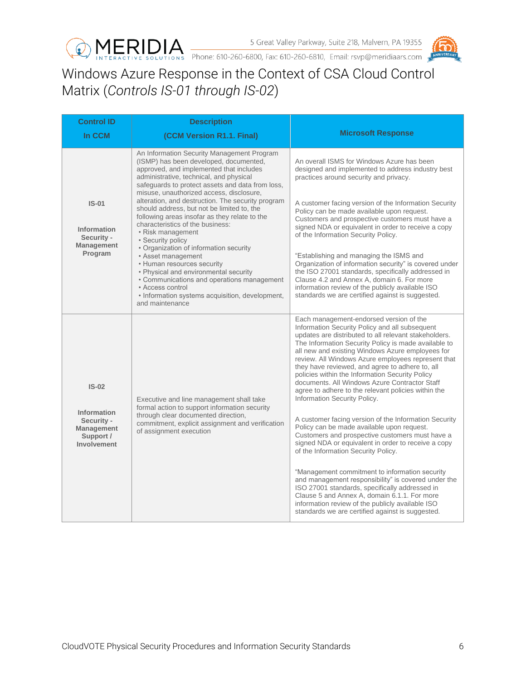



## <span id="page-5-0"></span>Windows Azure Response in the Context of CSA Cloud Control Matrix (*Controls IS-01 through IS-02*)

| <b>Control ID</b>                                                          | <b>Description</b>                                                                                                                                                                                                                                                         |                                                                                                                                                                                                                                                                                                                                                                                                                                                                                                                                                                    |
|----------------------------------------------------------------------------|----------------------------------------------------------------------------------------------------------------------------------------------------------------------------------------------------------------------------------------------------------------------------|--------------------------------------------------------------------------------------------------------------------------------------------------------------------------------------------------------------------------------------------------------------------------------------------------------------------------------------------------------------------------------------------------------------------------------------------------------------------------------------------------------------------------------------------------------------------|
| In CCM                                                                     | (CCM Version R1.1. Final)                                                                                                                                                                                                                                                  | <b>Microsoft Response</b>                                                                                                                                                                                                                                                                                                                                                                                                                                                                                                                                          |
|                                                                            | An Information Security Management Program<br>(ISMP) has been developed, documented,<br>approved, and implemented that includes<br>administrative, technical, and physical<br>safeguards to protect assets and data from loss,<br>misuse, unauthorized access, disclosure, | An overall ISMS for Windows Azure has been<br>designed and implemented to address industry best<br>practices around security and privacy.                                                                                                                                                                                                                                                                                                                                                                                                                          |
| $IS-01$<br><b>Information</b><br>Security -<br><b>Management</b>           | alteration, and destruction. The security program<br>should address, but not be limited to, the<br>following areas insofar as they relate to the<br>characteristics of the business:<br>• Risk management<br>• Security policy<br>• Organization of information security   | A customer facing version of the Information Security<br>Policy can be made available upon request.<br>Customers and prospective customers must have a<br>signed NDA or equivalent in order to receive a copy<br>of the Information Security Policy.                                                                                                                                                                                                                                                                                                               |
| Program                                                                    | • Asset management<br>• Human resources security<br>• Physical and environmental security<br>• Communications and operations management<br>• Access control<br>• Information systems acquisition, development,<br>and maintenance                                          | "Establishing and managing the ISMS and<br>Organization of information security" is covered under<br>the ISO 27001 standards, specifically addressed in<br>Clause 4.2 and Annex A, domain 6. For more<br>information review of the publicly available ISO<br>standards we are certified against is suggested.                                                                                                                                                                                                                                                      |
| $IS-02$                                                                    | Executive and line management shall take<br>formal action to support information security                                                                                                                                                                                  | Each management-endorsed version of the<br>Information Security Policy and all subsequent<br>updates are distributed to all relevant stakeholders.<br>The Information Security Policy is made available to<br>all new and existing Windows Azure employees for<br>review. All Windows Azure employees represent that<br>they have reviewed, and agree to adhere to, all<br>policies within the Information Security Policy<br>documents. All Windows Azure Contractor Staff<br>agree to adhere to the relevant policies within the<br>Information Security Policy. |
| <b>Information</b><br>Security -<br>Management<br>Support /<br>Involvement | through clear documented direction,<br>commitment, explicit assignment and verification<br>of assignment execution                                                                                                                                                         | A customer facing version of the Information Security<br>Policy can be made available upon request.<br>Customers and prospective customers must have a<br>signed NDA or equivalent in order to receive a copy<br>of the Information Security Policy.                                                                                                                                                                                                                                                                                                               |
|                                                                            |                                                                                                                                                                                                                                                                            | "Management commitment to information security<br>and management responsibility" is covered under the<br>ISO 27001 standards, specifically addressed in<br>Clause 5 and Annex A, domain 6.1.1. For more<br>information review of the publicly available ISO<br>standards we are certified against is suggested.                                                                                                                                                                                                                                                    |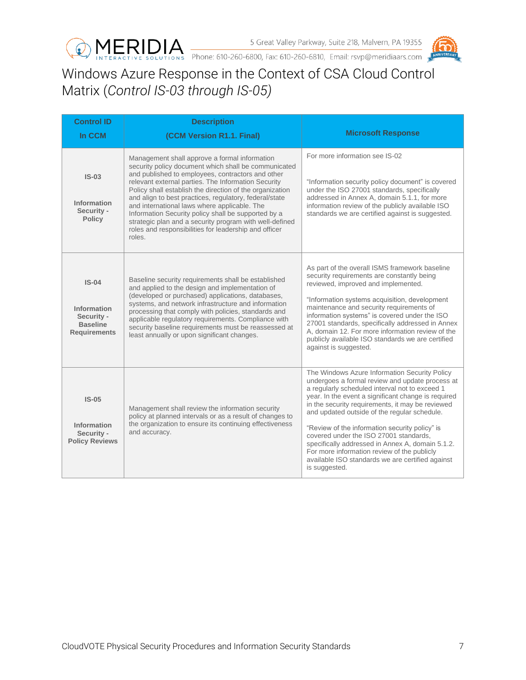



## <span id="page-6-0"></span>Windows Azure Response in the Context of CSA Cloud Control Matrix (*Control IS-03 through IS-05)*

| <b>Control ID</b>                                                              | <b>Description</b>                                                                                                                                                                                                                                                                                                                                                                                                                                                                                                                                                           |                                                                                                                                                                                                                                                                                                                                                                                                                                                                                                                                                                                   |
|--------------------------------------------------------------------------------|------------------------------------------------------------------------------------------------------------------------------------------------------------------------------------------------------------------------------------------------------------------------------------------------------------------------------------------------------------------------------------------------------------------------------------------------------------------------------------------------------------------------------------------------------------------------------|-----------------------------------------------------------------------------------------------------------------------------------------------------------------------------------------------------------------------------------------------------------------------------------------------------------------------------------------------------------------------------------------------------------------------------------------------------------------------------------------------------------------------------------------------------------------------------------|
| In CCM                                                                         | (CCM Version R1.1. Final)                                                                                                                                                                                                                                                                                                                                                                                                                                                                                                                                                    | <b>Microsoft Response</b>                                                                                                                                                                                                                                                                                                                                                                                                                                                                                                                                                         |
| $IS-03$<br>Information<br>Security -<br><b>Policy</b>                          | Management shall approve a formal information<br>security policy document which shall be communicated<br>and published to employees, contractors and other<br>relevant external parties. The Information Security<br>Policy shall establish the direction of the organization<br>and align to best practices, regulatory, federal/state<br>and international laws where applicable. The<br>Information Security policy shall be supported by a<br>strategic plan and a security program with well-defined<br>roles and responsibilities for leadership and officer<br>roles. | For more information see IS-02<br>"Information security policy document" is covered<br>under the ISO 27001 standards, specifically<br>addressed in Annex A, domain 5.1.1, for more<br>information review of the publicly available ISO<br>standards we are certified against is suggested.                                                                                                                                                                                                                                                                                        |
| $IS-04$<br>Information<br>Security -<br><b>Baseline</b><br><b>Requirements</b> | Baseline security requirements shall be established<br>and applied to the design and implementation of<br>(developed or purchased) applications, databases,<br>systems, and network infrastructure and information<br>processing that comply with policies, standards and<br>applicable regulatory requirements. Compliance with<br>security baseline requirements must be reassessed at<br>least annually or upon significant changes.                                                                                                                                      | As part of the overall ISMS framework baseline<br>security requirements are constantly being<br>reviewed, improved and implemented.<br>"Information systems acquisition, development<br>maintenance and security requirements of<br>information systems" is covered under the ISO<br>27001 standards, specifically addressed in Annex<br>A, domain 12. For more information review of the<br>publicly available ISO standards we are certified<br>against is suggested.                                                                                                           |
| $IS-05$<br>Information<br>Security -<br><b>Policy Reviews</b>                  | Management shall review the information security<br>policy at planned intervals or as a result of changes to<br>the organization to ensure its continuing effectiveness<br>and accuracy.                                                                                                                                                                                                                                                                                                                                                                                     | The Windows Azure Information Security Policy<br>undergoes a formal review and update process at<br>a regularly scheduled interval not to exceed 1<br>year. In the event a significant change is required<br>in the security requirements, it may be reviewed<br>and updated outside of the regular schedule.<br>"Review of the information security policy" is<br>covered under the ISO 27001 standards,<br>specifically addressed in Annex A, domain 5.1.2.<br>For more information review of the publicly<br>available ISO standards we are certified against<br>is suggested. |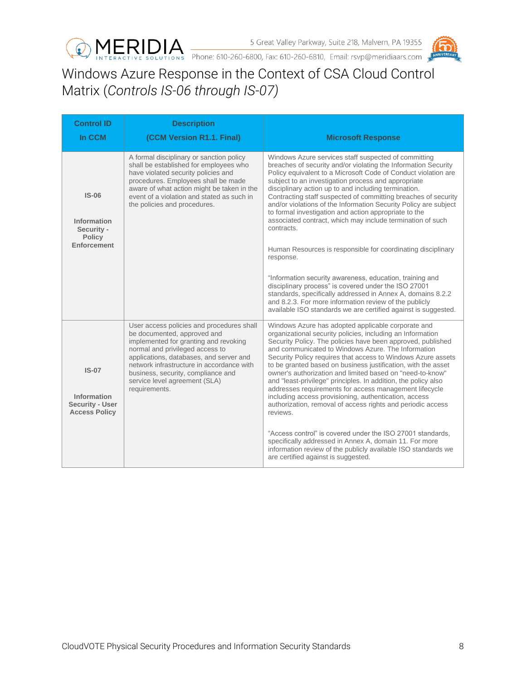



## <span id="page-7-0"></span>Windows Azure Response in the Context of CSA Cloud Control Matrix (*Controls IS-06 through IS-07)*

| <b>Control ID</b>                                                        | <b>Description</b>                                                                                                                                                                                                                                                                                                                   |                                                                                                                                                                                                                                                                                                                                                                                                                                                                                                                                                                                                                                                                                                                                                                                                                                                                                                                                                                                |
|--------------------------------------------------------------------------|--------------------------------------------------------------------------------------------------------------------------------------------------------------------------------------------------------------------------------------------------------------------------------------------------------------------------------------|--------------------------------------------------------------------------------------------------------------------------------------------------------------------------------------------------------------------------------------------------------------------------------------------------------------------------------------------------------------------------------------------------------------------------------------------------------------------------------------------------------------------------------------------------------------------------------------------------------------------------------------------------------------------------------------------------------------------------------------------------------------------------------------------------------------------------------------------------------------------------------------------------------------------------------------------------------------------------------|
| In CCM                                                                   | (CCM Version R1.1. Final)                                                                                                                                                                                                                                                                                                            | <b>Microsoft Response</b>                                                                                                                                                                                                                                                                                                                                                                                                                                                                                                                                                                                                                                                                                                                                                                                                                                                                                                                                                      |
| $IS-06$<br>Information<br>Security -<br><b>Policy</b><br>Enforcement     | A formal disciplinary or sanction policy<br>shall be established for employees who<br>have violated security policies and<br>procedures. Employees shall be made<br>aware of what action might be taken in the<br>event of a violation and stated as such in<br>the policies and procedures.                                         | Windows Azure services staff suspected of committing<br>breaches of security and/or violating the Information Security<br>Policy equivalent to a Microsoft Code of Conduct violation are<br>subject to an investigation process and appropriate<br>disciplinary action up to and including termination.<br>Contracting staff suspected of committing breaches of security<br>and/or violations of the Information Security Policy are subject<br>to formal investigation and action appropriate to the<br>associated contract, which may include termination of such<br>contracts.<br>Human Resources is responsible for coordinating disciplinary<br>response.<br>"Information security awareness, education, training and<br>disciplinary process" is covered under the ISO 27001<br>standards, specifically addressed in Annex A, domains 8.2.2<br>and 8.2.3. For more information review of the publicly<br>available ISO standards we are certified against is suggested. |
| $IS-07$<br>Information<br><b>Security - User</b><br><b>Access Policy</b> | User access policies and procedures shall<br>be documented, approved and<br>implemented for granting and revoking<br>normal and privileged access to<br>applications, databases, and server and<br>network infrastructure in accordance with<br>business, security, compliance and<br>service level agreement (SLA)<br>requirements. | Windows Azure has adopted applicable corporate and<br>organizational security policies, including an Information<br>Security Policy. The policies have been approved, published<br>and communicated to Windows Azure. The Information<br>Security Policy requires that access to Windows Azure assets<br>to be granted based on business justification, with the asset<br>owner's authorization and limited based on "need-to-know"<br>and "least-privilege" principles. In addition, the policy also<br>addresses requirements for access management lifecycle<br>including access provisioning, authentication, access<br>authorization, removal of access rights and periodic access<br>reviews.<br>"Access control" is covered under the ISO 27001 standards.<br>specifically addressed in Annex A, domain 11. For more<br>information review of the publicly available ISO standards we<br>are certified against is suggested.                                            |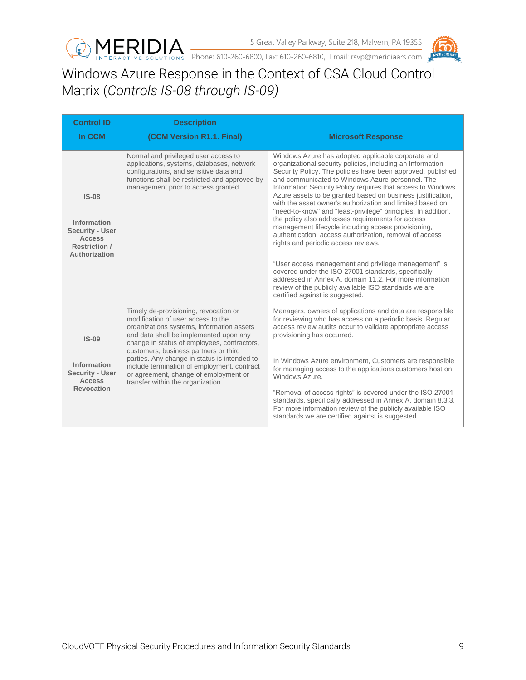



## <span id="page-8-0"></span>Windows Azure Response in the Context of CSA Cloud Control Matrix (*Controls IS-08 through IS-09)*

| <b>Control ID</b>                                                                                          | <b>Description</b>                                                                                                                                                                                                                                                                                                                                                                                                                      |                                                                                                                                                                                                                                                                                                                                                                                                                                                                                                                                                                                                                                                                                                                                                                                                                                                                                                                                                                                     |
|------------------------------------------------------------------------------------------------------------|-----------------------------------------------------------------------------------------------------------------------------------------------------------------------------------------------------------------------------------------------------------------------------------------------------------------------------------------------------------------------------------------------------------------------------------------|-------------------------------------------------------------------------------------------------------------------------------------------------------------------------------------------------------------------------------------------------------------------------------------------------------------------------------------------------------------------------------------------------------------------------------------------------------------------------------------------------------------------------------------------------------------------------------------------------------------------------------------------------------------------------------------------------------------------------------------------------------------------------------------------------------------------------------------------------------------------------------------------------------------------------------------------------------------------------------------|
| In CCM                                                                                                     | (CCM Version R1.1. Final)                                                                                                                                                                                                                                                                                                                                                                                                               | <b>Microsoft Response</b>                                                                                                                                                                                                                                                                                                                                                                                                                                                                                                                                                                                                                                                                                                                                                                                                                                                                                                                                                           |
| $IS-08$<br>Information<br><b>Security - User</b><br><b>Access</b><br><b>Restriction /</b><br>Authorization | Normal and privileged user access to<br>applications, systems, databases, network<br>configurations, and sensitive data and<br>functions shall be restricted and approved by<br>management prior to access granted.                                                                                                                                                                                                                     | Windows Azure has adopted applicable corporate and<br>organizational security policies, including an Information<br>Security Policy. The policies have been approved, published<br>and communicated to Windows Azure personnel. The<br>Information Security Policy requires that access to Windows<br>Azure assets to be granted based on business justification,<br>with the asset owner's authorization and limited based on<br>"need-to-know" and "least-privilege" principles. In addition,<br>the policy also addresses requirements for access<br>management lifecycle including access provisioning,<br>authentication, access authorization, removal of access<br>rights and periodic access reviews.<br>"User access management and privilege management" is<br>covered under the ISO 27001 standards, specifically<br>addressed in Annex A, domain 11.2. For more information<br>review of the publicly available ISO standards we are<br>certified against is suggested. |
| $IS-09$<br>Information<br><b>Security - User</b><br><b>Access</b><br><b>Revocation</b>                     | Timely de-provisioning, revocation or<br>modification of user access to the<br>organizations systems, information assets<br>and data shall be implemented upon any<br>change in status of employees, contractors,<br>customers, business partners or third<br>parties. Any change in status is intended to<br>include termination of employment, contract<br>or agreement, change of employment or<br>transfer within the organization. | Managers, owners of applications and data are responsible<br>for reviewing who has access on a periodic basis. Regular<br>access review audits occur to validate appropriate access<br>provisioning has occurred.<br>In Windows Azure environment, Customers are responsible<br>for managing access to the applications customers host on<br>Windows Azure.<br>"Removal of access rights" is covered under the ISO 27001<br>standards, specifically addressed in Annex A, domain 8.3.3.<br>For more information review of the publicly available ISO<br>standards we are certified against is suggested.                                                                                                                                                                                                                                                                                                                                                                            |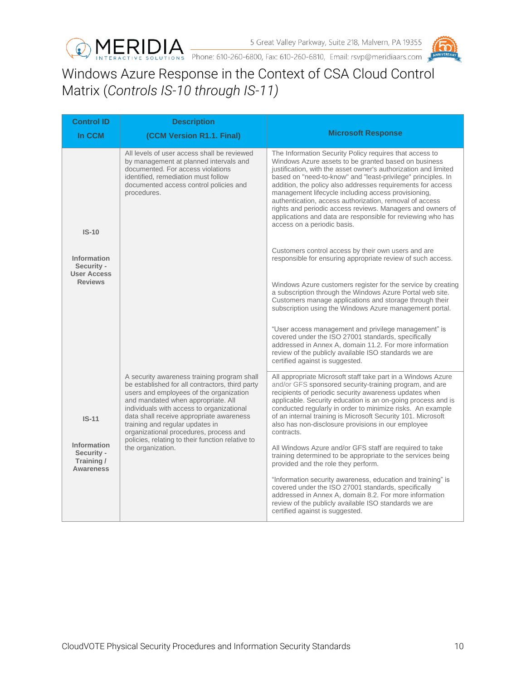



## <span id="page-9-0"></span>Windows Azure Response in the Context of CSA Cloud Control Matrix (*Controls IS-10 through IS-11)*

| <b>Control ID</b>                                                  | <b>Description</b>                                                                                                                                                                                                                                                                                                                                                                                        |                                                                                                                                                                                                                                                                                                                                                                                                                                                                                                                                                                                                 |
|--------------------------------------------------------------------|-----------------------------------------------------------------------------------------------------------------------------------------------------------------------------------------------------------------------------------------------------------------------------------------------------------------------------------------------------------------------------------------------------------|-------------------------------------------------------------------------------------------------------------------------------------------------------------------------------------------------------------------------------------------------------------------------------------------------------------------------------------------------------------------------------------------------------------------------------------------------------------------------------------------------------------------------------------------------------------------------------------------------|
| In CCM                                                             | (CCM Version R1.1. Final)                                                                                                                                                                                                                                                                                                                                                                                 | <b>Microsoft Response</b>                                                                                                                                                                                                                                                                                                                                                                                                                                                                                                                                                                       |
| $IS-10$                                                            | All levels of user access shall be reviewed<br>by management at planned intervals and<br>documented. For access violations<br>identified, remediation must follow<br>documented access control policies and<br>procedures.                                                                                                                                                                                | The Information Security Policy requires that access to<br>Windows Azure assets to be granted based on business<br>justification, with the asset owner's authorization and limited<br>based on "need-to-know" and "least-privilege" principles. In<br>addition, the policy also addresses requirements for access<br>management lifecycle including access provisioning,<br>authentication, access authorization, removal of access<br>rights and periodic access reviews. Managers and owners of<br>applications and data are responsible for reviewing who has<br>access on a periodic basis. |
| <b>Information</b><br>Security -                                   |                                                                                                                                                                                                                                                                                                                                                                                                           | Customers control access by their own users and are<br>responsible for ensuring appropriate review of such access.                                                                                                                                                                                                                                                                                                                                                                                                                                                                              |
| <b>User Access</b><br><b>Reviews</b>                               |                                                                                                                                                                                                                                                                                                                                                                                                           | Windows Azure customers register for the service by creating<br>a subscription through the Windows Azure Portal web site.<br>Customers manage applications and storage through their<br>subscription using the Windows Azure management portal.                                                                                                                                                                                                                                                                                                                                                 |
|                                                                    |                                                                                                                                                                                                                                                                                                                                                                                                           | "User access management and privilege management" is<br>covered under the ISO 27001 standards, specifically<br>addressed in Annex A, domain 11.2. For more information<br>review of the publicly available ISO standards we are<br>certified against is suggested.                                                                                                                                                                                                                                                                                                                              |
| $IS-11$                                                            | A security awareness training program shall<br>be established for all contractors, third party<br>users and employees of the organization<br>and mandated when appropriate. All<br>individuals with access to organizational<br>data shall receive appropriate awareness<br>training and regular updates in<br>organizational procedures, process and<br>policies, relating to their function relative to | All appropriate Microsoft staff take part in a Windows Azure<br>and/or GFS sponsored security-training program, and are<br>recipients of periodic security awareness updates when<br>applicable. Security education is an on-going process and is<br>conducted regularly in order to minimize risks. An example<br>of an internal training is Microsoft Security 101. Microsoft<br>also has non-disclosure provisions in our employee<br>contracts.                                                                                                                                             |
| <b>Information</b><br>Security -<br>Training /<br><b>Awareness</b> | the organization.                                                                                                                                                                                                                                                                                                                                                                                         | All Windows Azure and/or GFS staff are required to take<br>training determined to be appropriate to the services being<br>provided and the role they perform.                                                                                                                                                                                                                                                                                                                                                                                                                                   |
|                                                                    |                                                                                                                                                                                                                                                                                                                                                                                                           | "Information security awareness, education and training" is<br>covered under the ISO 27001 standards, specifically<br>addressed in Annex A, domain 8.2. For more information<br>review of the publicly available ISO standards we are<br>certified against is suggested.                                                                                                                                                                                                                                                                                                                        |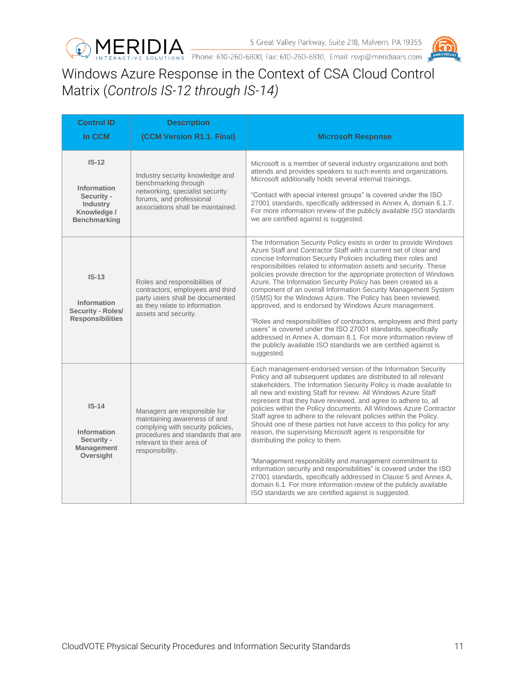



## <span id="page-10-0"></span>Windows Azure Response in the Context of CSA Cloud Control Matrix (*Controls IS-12 through IS-14)*

| <b>Control ID</b><br>In CCM                                                                   | <b>Description</b><br>(CCM Version R1.1. Final)                                                                                                                                        | <b>Microsoft Response</b>                                                                                                                                                                                                                                                                                                                                                                                                                                                                                                                                                                                                                                                                                                                                                                                                                                                                                                                                                                         |
|-----------------------------------------------------------------------------------------------|----------------------------------------------------------------------------------------------------------------------------------------------------------------------------------------|---------------------------------------------------------------------------------------------------------------------------------------------------------------------------------------------------------------------------------------------------------------------------------------------------------------------------------------------------------------------------------------------------------------------------------------------------------------------------------------------------------------------------------------------------------------------------------------------------------------------------------------------------------------------------------------------------------------------------------------------------------------------------------------------------------------------------------------------------------------------------------------------------------------------------------------------------------------------------------------------------|
| $IS-12$<br>Information<br>Security -<br><b>Industry</b><br>Knowledge /<br><b>Benchmarking</b> | Industry security knowledge and<br>benchmarking through<br>networking, specialist security<br>forums, and professional<br>associations shall be maintained.                            | Microsoft is a member of several industry organizations and both<br>attends and provides speakers to such events and organizations.<br>Microsoft additionally holds several internal trainings.<br>"Contact with special interest groups" is covered under the ISO<br>27001 standards, specifically addressed in Annex A, domain 6.1.7.<br>For more information review of the publicly available ISO standards<br>we are certified against is suggested.                                                                                                                                                                                                                                                                                                                                                                                                                                                                                                                                          |
| $IS-13$<br>Information<br>Security - Roles/<br><b>Responsibilities</b>                        | Roles and responsibilities of<br>contractors, employees and third<br>party users shall be documented<br>as they relate to information<br>assets and security.                          | The Information Security Policy exists in order to provide Windows<br>Azure Staff and Contractor Staff with a current set of clear and<br>concise Information Security Policies including their roles and<br>responsibilities related to information assets and security. These<br>policies provide direction for the appropriate protection of Windows<br>Azure. The Information Security Policy has been created as a<br>component of an overall Information Security Management System<br>(ISMS) for the Windows Azure. The Policy has been reviewed,<br>approved, and is endorsed by Windows Azure management.<br>"Roles and responsibilities of contractors, employees and third party<br>users" is covered under the ISO 27001 standards, specifically<br>addressed in Annex A, domain 8.1. For more information review of<br>the publicly available ISO standards we are certified against is<br>suggested.                                                                                |
| $IS-14$<br><b>Information</b><br>Security -<br><b>Management</b><br>Oversight                 | Managers are responsible for<br>maintaining awareness of and<br>complying with security policies,<br>procedures and standards that are<br>relevant to their area of<br>responsibility. | Each management-endorsed version of the Information Security<br>Policy and all subsequent updates are distributed to all relevant<br>stakeholders. The Information Security Policy is made available to<br>all new and existing Staff for review. All Windows Azure Staff<br>represent that they have reviewed, and agree to adhere to, all<br>policies within the Policy documents. All Windows Azure Contractor<br>Staff agree to adhere to the relevant policies within the Policy.<br>Should one of these parties not have access to this policy for any<br>reason, the supervising Microsoft agent is responsible for<br>distributing the policy to them.<br>"Management responsibility and management commitment to<br>information security and responsibilities" is covered under the ISO<br>27001 standards, specifically addressed in Clause 5 and Annex A,<br>domain 6.1. For more information review of the publicly available<br>ISO standards we are certified against is suggested. |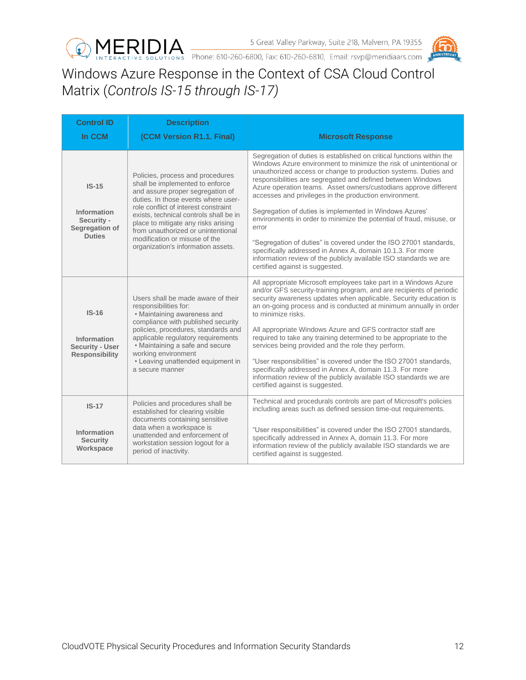



# <span id="page-11-0"></span>Windows Azure Response in the Context of CSA Cloud Control Matrix (*Controls IS-15 through IS-17)*

| <b>Control ID</b><br>In CCM                                             | <b>Description</b><br>(CCM Version R1.1. Final)                                                                                                                                                                                                                                                                                                                                      | <b>Microsoft Response</b>                                                                                                                                                                                                                                                                                                                                                                                                                                                                                                                                                                                                                                                                                                                                                                          |
|-------------------------------------------------------------------------|--------------------------------------------------------------------------------------------------------------------------------------------------------------------------------------------------------------------------------------------------------------------------------------------------------------------------------------------------------------------------------------|----------------------------------------------------------------------------------------------------------------------------------------------------------------------------------------------------------------------------------------------------------------------------------------------------------------------------------------------------------------------------------------------------------------------------------------------------------------------------------------------------------------------------------------------------------------------------------------------------------------------------------------------------------------------------------------------------------------------------------------------------------------------------------------------------|
| $IS-15$<br>Information<br>Security -<br>Segregation of<br><b>Duties</b> | Policies, process and procedures<br>shall be implemented to enforce<br>and assure proper segregation of<br>duties. In those events where user-<br>role conflict of interest constraint<br>exists, technical controls shall be in<br>place to mitigate any risks arising<br>from unauthorized or unintentional<br>modification or misuse of the<br>organization's information assets. | Segregation of duties is established on critical functions within the<br>Windows Azure environment to minimize the risk of unintentional or<br>unauthorized access or change to production systems. Duties and<br>responsibilities are segregated and defined between Windows<br>Azure operation teams. Asset owners/custodians approve different<br>accesses and privileges in the production environment.<br>Segregation of duties is implemented in Windows Azures'<br>environments in order to minimize the potential of fraud, misuse, or<br>error<br>"Segregation of duties" is covered under the ISO 27001 standards,<br>specifically addressed in Annex A, domain 10.1.3. For more<br>information review of the publicly available ISO standards we are<br>certified against is suggested. |
| $IS-16$<br>Information<br>Security - User<br><b>Responsibility</b>      | Users shall be made aware of their<br>responsibilities for:<br>• Maintaining awareness and<br>compliance with published security<br>policies, procedures, standards and<br>applicable regulatory requirements<br>• Maintaining a safe and secure<br>working environment<br>• Leaving unattended equipment in<br>a secure manner                                                      | All appropriate Microsoft employees take part in a Windows Azure<br>and/or GFS security-training program, and are recipients of periodic<br>security awareness updates when applicable. Security education is<br>an on-going process and is conducted at minimum annually in order<br>to minimize risks.<br>All appropriate Windows Azure and GFS contractor staff are<br>required to take any training determined to be appropriate to the<br>services being provided and the role they perform.<br>"User responsibilities" is covered under the ISO 27001 standards,<br>specifically addressed in Annex A, domain 11.3. For more<br>information review of the publicly available ISO standards we are<br>certified against is suggested.                                                         |
| $IS-17$<br>Information<br><b>Security</b><br>Workspace                  | Policies and procedures shall be<br>established for clearing visible<br>documents containing sensitive<br>data when a workspace is<br>unattended and enforcement of<br>workstation session logout for a<br>period of inactivity.                                                                                                                                                     | Technical and procedurals controls are part of Microsoft's policies<br>including areas such as defined session time-out requirements.<br>"User responsibilities" is covered under the ISO 27001 standards,<br>specifically addressed in Annex A, domain 11.3. For more<br>information review of the publicly available ISO standards we are<br>certified against is suggested.                                                                                                                                                                                                                                                                                                                                                                                                                     |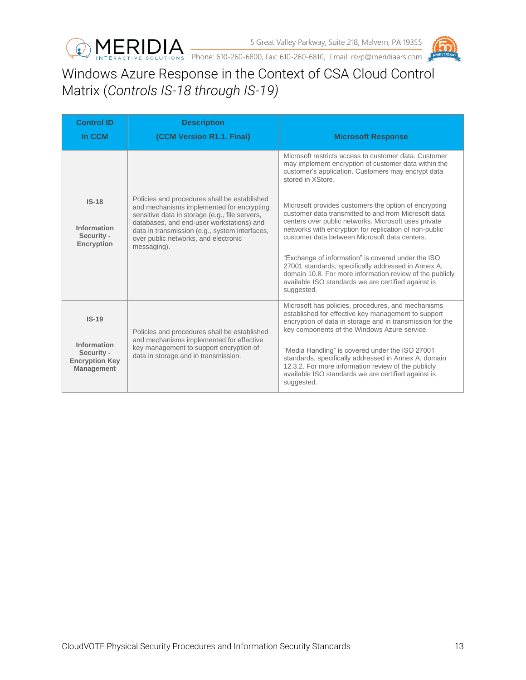



<span id="page-12-0"></span>Windows Azure Response in the Context of CSA Cloud Control Matrix (*Controls IS-18 through IS-19)*

| <b>Control ID</b>                                                                                                                                                                                      | <b>Description</b>                                                                                                                                                                                                                  |                                                                                                                                                                                                                                            |
|--------------------------------------------------------------------------------------------------------------------------------------------------------------------------------------------------------|-------------------------------------------------------------------------------------------------------------------------------------------------------------------------------------------------------------------------------------|--------------------------------------------------------------------------------------------------------------------------------------------------------------------------------------------------------------------------------------------|
| In CCM                                                                                                                                                                                                 | (CCM Version R1.1. Final)                                                                                                                                                                                                           | <b>Microsoft Response</b>                                                                                                                                                                                                                  |
|                                                                                                                                                                                                        |                                                                                                                                                                                                                                     | Microsoft restricts access to customer data. Customer<br>may implement encryption of customer data within the<br>customer's application. Customers may encrypt data<br>stored in XStore.                                                   |
| $IS-18$                                                                                                                                                                                                | Policies and procedures shall be established<br>and mechanisms implemented for encrypting<br>sensitive data in storage (e.g., file servers,                                                                                         | Microsoft provides customers the option of encrypting<br>customer data transmitted to and from Microsoft data                                                                                                                              |
| Information<br>Security -<br><b>Encryption</b>                                                                                                                                                         | databases, and end-user workstations) and<br>data in transmission (e.g., system interfaces,<br>over public networks, and electronic<br>messaging).                                                                                  | centers over public networks. Microsoft uses private<br>networks with encryption for replication of non-public<br>customer data between Microsoft data centers.                                                                            |
|                                                                                                                                                                                                        |                                                                                                                                                                                                                                     | "Exchange of information" is covered under the ISO<br>27001 standards, specifically addressed in Annex A,<br>domain 10.8. For more information review of the publicly<br>available ISO standards we are certified against is<br>suggested. |
| $IS-19$                                                                                                                                                                                                | Policies and procedures shall be established                                                                                                                                                                                        | Microsoft has policies, procedures, and mechanisms<br>established for effective key management to support<br>encryption of data in storage and in transmission for the<br>key components of the Windows Azure service.                     |
| and mechanisms implemented for effective<br>Information<br>key management to support encryption of<br>Security -<br>data in storage and in transmission.<br><b>Encryption Key</b><br><b>Management</b> | "Media Handling" is covered under the ISO 27001<br>standards, specifically addressed in Annex A, domain<br>12.3.2. For more information review of the publicly<br>available ISO standards we are certified against is<br>suggested. |                                                                                                                                                                                                                                            |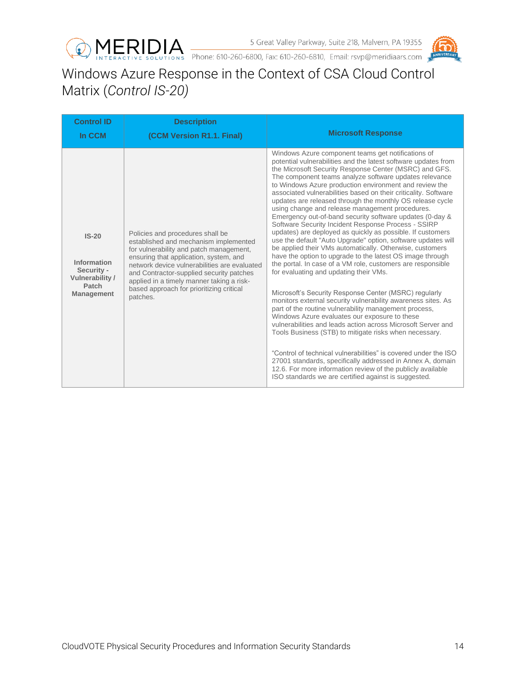



# <span id="page-13-0"></span>Windows Azure Response in the Context of CSA Cloud Control Matrix (*Control IS-20)*

| <b>Control ID</b><br>In CCM                                                           | <b>Description</b><br>(CCM Version R1.1. Final)                                                                                                                                                                                                                                                                                                                 | <b>Microsoft Response</b>                                                                                                                                                                                                                                                                                                                                                                                                                                                                                                                                                                                                                                                                                                                                                                                                                                                                                                                                                                                                                                                                                                                                                                                                                                                                                                                                                                                                                                                                                                                                                                     |
|---------------------------------------------------------------------------------------|-----------------------------------------------------------------------------------------------------------------------------------------------------------------------------------------------------------------------------------------------------------------------------------------------------------------------------------------------------------------|-----------------------------------------------------------------------------------------------------------------------------------------------------------------------------------------------------------------------------------------------------------------------------------------------------------------------------------------------------------------------------------------------------------------------------------------------------------------------------------------------------------------------------------------------------------------------------------------------------------------------------------------------------------------------------------------------------------------------------------------------------------------------------------------------------------------------------------------------------------------------------------------------------------------------------------------------------------------------------------------------------------------------------------------------------------------------------------------------------------------------------------------------------------------------------------------------------------------------------------------------------------------------------------------------------------------------------------------------------------------------------------------------------------------------------------------------------------------------------------------------------------------------------------------------------------------------------------------------|
| $IS-20$<br>Information<br>Security -<br>Vulnerability /<br>Patch<br><b>Management</b> | Policies and procedures shall be<br>established and mechanism implemented<br>for vulnerability and patch management,<br>ensuring that application, system, and<br>network device vulnerabilities are evaluated<br>and Contractor-supplied security patches<br>applied in a timely manner taking a risk-<br>based approach for prioritizing critical<br>patches. | Windows Azure component teams get notifications of<br>potential vulnerabilities and the latest software updates from<br>the Microsoft Security Response Center (MSRC) and GFS.<br>The component teams analyze software updates relevance<br>to Windows Azure production environment and review the<br>associated vulnerabilities based on their criticality. Software<br>updates are released through the monthly OS release cycle<br>using change and release management procedures.<br>Emergency out-of-band security software updates (0-day &<br>Software Security Incident Response Process - SSIRP<br>updates) are deployed as quickly as possible. If customers<br>use the default "Auto Upgrade" option, software updates will<br>be applied their VMs automatically. Otherwise, customers<br>have the option to upgrade to the latest OS image through<br>the portal. In case of a VM role, customers are responsible<br>for evaluating and updating their VMs.<br>Microsoft's Security Response Center (MSRC) regularly<br>monitors external security vulnerability awareness sites. As<br>part of the routine vulnerability management process,<br>Windows Azure evaluates our exposure to these<br>vulnerabilities and leads action across Microsoft Server and<br>Tools Business (STB) to mitigate risks when necessary.<br>"Control of technical vulnerabilities" is covered under the ISO<br>27001 standards, specifically addressed in Annex A, domain<br>12.6. For more information review of the publicly available<br>ISO standards we are certified against is suggested. |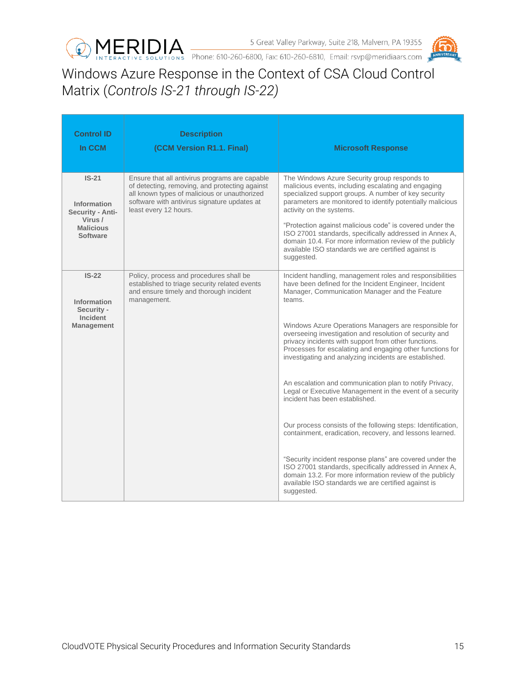



## <span id="page-14-0"></span>Windows Azure Response in the Context of CSA Cloud Control Matrix (*Controls IS-21 through IS-22)*

| <b>Control ID</b><br>In CCM                                                           | <b>Description</b><br>(CCM Version R1.1. Final)                                                                                                                                                                           | <b>Microsoft Response</b>                                                                                                                                                                                                                                                                                                                                                                                                                                                                                                                                                                                                                                                                                                                                                                                                                                                                                                                                                                                                     |
|---------------------------------------------------------------------------------------|---------------------------------------------------------------------------------------------------------------------------------------------------------------------------------------------------------------------------|-------------------------------------------------------------------------------------------------------------------------------------------------------------------------------------------------------------------------------------------------------------------------------------------------------------------------------------------------------------------------------------------------------------------------------------------------------------------------------------------------------------------------------------------------------------------------------------------------------------------------------------------------------------------------------------------------------------------------------------------------------------------------------------------------------------------------------------------------------------------------------------------------------------------------------------------------------------------------------------------------------------------------------|
| $IS-21$<br>Information<br>Security - Anti-<br>Virus /<br><b>Malicious</b><br>Software | Ensure that all antivirus programs are capable<br>of detecting, removing, and protecting against<br>all known types of malicious or unauthorized<br>software with antivirus signature updates at<br>least every 12 hours. | The Windows Azure Security group responds to<br>malicious events, including escalating and engaging<br>specialized support groups. A number of key security<br>parameters are monitored to identify potentially malicious<br>activity on the systems.<br>"Protection against malicious code" is covered under the<br>ISO 27001 standards, specifically addressed in Annex A,<br>domain 10.4. For more information review of the publicly<br>available ISO standards we are certified against is<br>suggested.                                                                                                                                                                                                                                                                                                                                                                                                                                                                                                                 |
| $IS-22$<br>Information<br>Security -<br><b>Incident</b><br><b>Management</b>          | Policy, process and procedures shall be<br>established to triage security related events<br>and ensure timely and thorough incident<br>management.                                                                        | Incident handling, management roles and responsibilities<br>have been defined for the Incident Engineer, Incident<br>Manager, Communication Manager and the Feature<br>teams.<br>Windows Azure Operations Managers are responsible for<br>overseeing investigation and resolution of security and<br>privacy incidents with support from other functions.<br>Processes for escalating and engaging other functions for<br>investigating and analyzing incidents are established.<br>An escalation and communication plan to notify Privacy,<br>Legal or Executive Management in the event of a security<br>incident has been established.<br>Our process consists of the following steps: Identification,<br>containment, eradication, recovery, and lessons learned.<br>"Security incident response plans" are covered under the<br>ISO 27001 standards, specifically addressed in Annex A,<br>domain 13.2. For more information review of the publicly<br>available ISO standards we are certified against is<br>suggested. |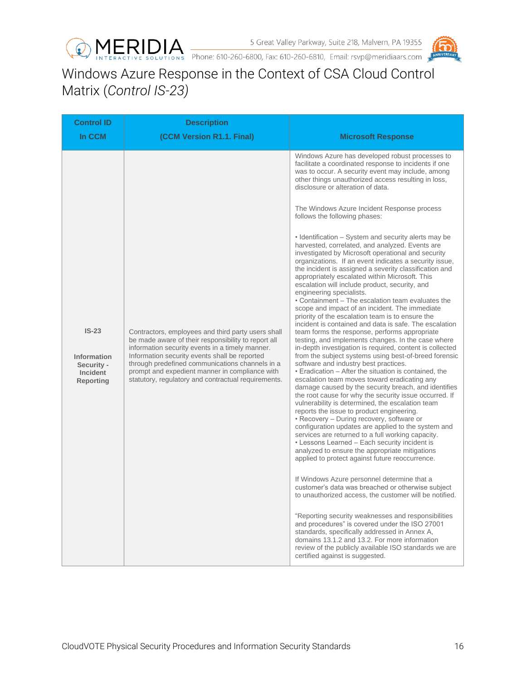



# <span id="page-15-0"></span>Windows Azure Response in the Context of CSA Cloud Control Matrix (*Control IS-23)*

| <b>Control ID</b>                                                    | <b>Description</b>                                                                                                                                                                                                                                                                                                                                                        |                                                                                                                                                                                                                                                                                                                                                                                                                                                                                                                                                                                                                                                                                                                                                                                                                                                                                                                                                                                                                                                                                                                                                                                                                                                                                                                                                                                                                           |
|----------------------------------------------------------------------|---------------------------------------------------------------------------------------------------------------------------------------------------------------------------------------------------------------------------------------------------------------------------------------------------------------------------------------------------------------------------|---------------------------------------------------------------------------------------------------------------------------------------------------------------------------------------------------------------------------------------------------------------------------------------------------------------------------------------------------------------------------------------------------------------------------------------------------------------------------------------------------------------------------------------------------------------------------------------------------------------------------------------------------------------------------------------------------------------------------------------------------------------------------------------------------------------------------------------------------------------------------------------------------------------------------------------------------------------------------------------------------------------------------------------------------------------------------------------------------------------------------------------------------------------------------------------------------------------------------------------------------------------------------------------------------------------------------------------------------------------------------------------------------------------------------|
| In CCM                                                               | (CCM Version R1.1. Final)                                                                                                                                                                                                                                                                                                                                                 | <b>Microsoft Response</b>                                                                                                                                                                                                                                                                                                                                                                                                                                                                                                                                                                                                                                                                                                                                                                                                                                                                                                                                                                                                                                                                                                                                                                                                                                                                                                                                                                                                 |
| $IS-23$<br><b>Information</b><br>Security -<br>Incident<br>Reporting | Contractors, employees and third party users shall<br>be made aware of their responsibility to report all<br>information security events in a timely manner.<br>Information security events shall be reported<br>through predefined communications channels in a<br>prompt and expedient manner in compliance with<br>statutory, regulatory and contractual requirements. | Windows Azure has developed robust processes to<br>facilitate a coordinated response to incidents if one<br>was to occur. A security event may include, among<br>other things unauthorized access resulting in loss,<br>disclosure or alteration of data.<br>The Windows Azure Incident Response process<br>follows the following phases:<br>• Identification – System and security alerts may be<br>harvested, correlated, and analyzed. Events are<br>investigated by Microsoft operational and security<br>organizations. If an event indicates a security issue,<br>the incident is assigned a severity classification and<br>appropriately escalated within Microsoft. This<br>escalation will include product, security, and<br>engineering specialists.<br>• Containment – The escalation team evaluates the<br>scope and impact of an incident. The immediate<br>priority of the escalation team is to ensure the<br>incident is contained and data is safe. The escalation<br>team forms the response, performs appropriate<br>testing, and implements changes. In the case where<br>in-depth investigation is required, content is collected<br>from the subject systems using best-of-breed forensic<br>software and industry best practices.<br>• Eradication – After the situation is contained, the<br>escalation team moves toward eradicating any<br>damage caused by the security breach, and identifies |
|                                                                      |                                                                                                                                                                                                                                                                                                                                                                           | the root cause for why the security issue occurred. If<br>vulnerability is determined, the escalation team<br>reports the issue to product engineering.<br>• Recovery – During recovery, software or<br>configuration updates are applied to the system and<br>services are returned to a full working capacity.<br>• Lessons Learned - Each security incident is<br>analyzed to ensure the appropriate mitigations<br>applied to protect against future reoccurrence.                                                                                                                                                                                                                                                                                                                                                                                                                                                                                                                                                                                                                                                                                                                                                                                                                                                                                                                                                    |
|                                                                      |                                                                                                                                                                                                                                                                                                                                                                           | If Windows Azure personnel determine that a<br>customer's data was breached or otherwise subject<br>to unauthorized access, the customer will be notified.                                                                                                                                                                                                                                                                                                                                                                                                                                                                                                                                                                                                                                                                                                                                                                                                                                                                                                                                                                                                                                                                                                                                                                                                                                                                |
|                                                                      |                                                                                                                                                                                                                                                                                                                                                                           | "Reporting security weaknesses and responsibilities<br>and procedures" is covered under the ISO 27001<br>standards, specifically addressed in Annex A,<br>domains 13.1.2 and 13.2. For more information<br>review of the publicly available ISO standards we are<br>certified against is suggested.                                                                                                                                                                                                                                                                                                                                                                                                                                                                                                                                                                                                                                                                                                                                                                                                                                                                                                                                                                                                                                                                                                                       |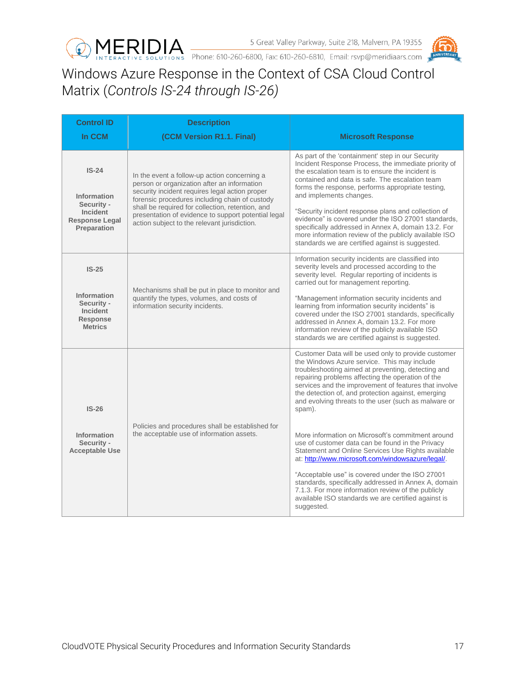



## <span id="page-16-0"></span>Windows Azure Response in the Context of CSA Cloud Control Matrix (*Controls IS-24 through IS-26)*

| <b>Control ID</b>                                                                               | <b>Description</b>                                                                                                                                                                                                                                                                                                                                         |                                                                                                                                                                                                                                                                                                                                                                                                                                                                                                                                                                                                                                                                                                                                                                                                                                                          |
|-------------------------------------------------------------------------------------------------|------------------------------------------------------------------------------------------------------------------------------------------------------------------------------------------------------------------------------------------------------------------------------------------------------------------------------------------------------------|----------------------------------------------------------------------------------------------------------------------------------------------------------------------------------------------------------------------------------------------------------------------------------------------------------------------------------------------------------------------------------------------------------------------------------------------------------------------------------------------------------------------------------------------------------------------------------------------------------------------------------------------------------------------------------------------------------------------------------------------------------------------------------------------------------------------------------------------------------|
| In CCM                                                                                          | (CCM Version R1.1. Final)                                                                                                                                                                                                                                                                                                                                  | <b>Microsoft Response</b>                                                                                                                                                                                                                                                                                                                                                                                                                                                                                                                                                                                                                                                                                                                                                                                                                                |
| $IS-24$<br><b>Information</b><br>Security -<br>Incident<br><b>Response Legal</b><br>Preparation | In the event a follow-up action concerning a<br>person or organization after an information<br>security incident requires legal action proper<br>forensic procedures including chain of custody<br>shall be required for collection, retention, and<br>presentation of evidence to support potential legal<br>action subject to the relevant jurisdiction. | As part of the 'containment' step in our Security<br>Incident Response Process, the immediate priority of<br>the escalation team is to ensure the incident is<br>contained and data is safe. The escalation team<br>forms the response, performs appropriate testing,<br>and implements changes.<br>"Security incident response plans and collection of<br>evidence" is covered under the ISO 27001 standards,<br>specifically addressed in Annex A, domain 13.2. For<br>more information review of the publicly available ISO<br>standards we are certified against is suggested.                                                                                                                                                                                                                                                                       |
| $IS-25$<br><b>Information</b><br>Security -<br><b>Incident</b><br>Response<br><b>Metrics</b>    | Mechanisms shall be put in place to monitor and<br>quantify the types, volumes, and costs of<br>information security incidents.                                                                                                                                                                                                                            | Information security incidents are classified into<br>severity levels and processed according to the<br>severity level. Regular reporting of incidents is<br>carried out for management reporting.<br>"Management information security incidents and<br>learning from information security incidents" is<br>covered under the ISO 27001 standards, specifically<br>addressed in Annex A, domain 13.2. For more<br>information review of the publicly available ISO<br>standards we are certified against is suggested.                                                                                                                                                                                                                                                                                                                                   |
| $IS-26$<br>Information<br>Security -<br><b>Acceptable Use</b>                                   | Policies and procedures shall be established for<br>the acceptable use of information assets.                                                                                                                                                                                                                                                              | Customer Data will be used only to provide customer<br>the Windows Azure service. This may include<br>troubleshooting aimed at preventing, detecting and<br>repairing problems affecting the operation of the<br>services and the improvement of features that involve<br>the detection of, and protection against, emerging<br>and evolving threats to the user (such as malware or<br>spam).<br>More information on Microsoft's commitment around<br>use of customer data can be found in the Privacy<br>Statement and Online Services Use Rights available<br>at: http://www.microsoft.com/windowsazure/legal/.<br>"Acceptable use" is covered under the ISO 27001<br>standards, specifically addressed in Annex A, domain<br>7.1.3. For more information review of the publicly<br>available ISO standards we are certified against is<br>suggested. |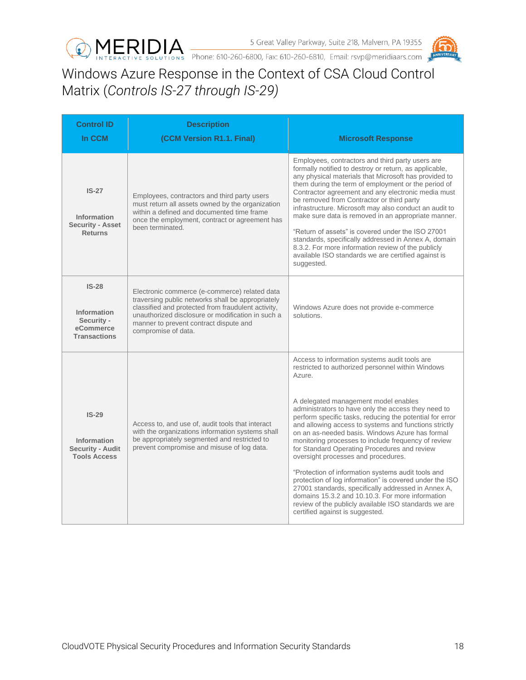



#### <span id="page-17-0"></span>Windows Azure Response in the Context of CSA Cloud Control Matrix (*Controls IS-27 through IS-29)*

| <b>Control ID</b><br>In CCM                                              | <b>Description</b><br>(CCM Version R1.1. Final)                                                                                                                                                                                                                                | <b>Microsoft Response</b>                                                                                                                                                                                                                                                                                                                                                                                                                                                                                                                                                                                                                                                                                                                                                                                                                                 |
|--------------------------------------------------------------------------|--------------------------------------------------------------------------------------------------------------------------------------------------------------------------------------------------------------------------------------------------------------------------------|-----------------------------------------------------------------------------------------------------------------------------------------------------------------------------------------------------------------------------------------------------------------------------------------------------------------------------------------------------------------------------------------------------------------------------------------------------------------------------------------------------------------------------------------------------------------------------------------------------------------------------------------------------------------------------------------------------------------------------------------------------------------------------------------------------------------------------------------------------------|
| $IS-27$<br>Information<br><b>Security - Asset</b><br><b>Returns</b>      | Employees, contractors and third party users<br>must return all assets owned by the organization<br>within a defined and documented time frame<br>once the employment, contract or agreement has<br>been terminated.                                                           | Employees, contractors and third party users are<br>formally notified to destroy or return, as applicable,<br>any physical materials that Microsoft has provided to<br>them during the term of employment or the period of<br>Contractor agreement and any electronic media must<br>be removed from Contractor or third party<br>infrastructure. Microsoft may also conduct an audit to<br>make sure data is removed in an appropriate manner.<br>"Return of assets" is covered under the ISO 27001<br>standards, specifically addressed in Annex A, domain<br>8.3.2. For more information review of the publicly<br>available ISO standards we are certified against is<br>suggested.                                                                                                                                                                    |
| $IS-28$<br>Information<br>Security -<br>eCommerce<br><b>Transactions</b> | Electronic commerce (e-commerce) related data<br>traversing public networks shall be appropriately<br>classified and protected from fraudulent activity,<br>unauthorized disclosure or modification in such a<br>manner to prevent contract dispute and<br>compromise of data. | Windows Azure does not provide e-commerce<br>solutions.                                                                                                                                                                                                                                                                                                                                                                                                                                                                                                                                                                                                                                                                                                                                                                                                   |
| $IS-29$<br>Information<br><b>Security - Audit</b><br><b>Tools Access</b> | Access to, and use of, audit tools that interact<br>with the organizations information systems shall<br>be appropriately segmented and restricted to<br>prevent compromise and misuse of log data.                                                                             | Access to information systems audit tools are<br>restricted to authorized personnel within Windows<br>Azure.<br>A delegated management model enables<br>administrators to have only the access they need to<br>perform specific tasks, reducing the potential for error<br>and allowing access to systems and functions strictly<br>on an as-needed basis. Windows Azure has formal<br>monitoring processes to include frequency of review<br>for Standard Operating Procedures and review<br>oversight processes and procedures.<br>"Protection of information systems audit tools and<br>protection of log information" is covered under the ISO<br>27001 standards, specifically addressed in Annex A,<br>domains 15.3.2 and 10.10.3. For more information<br>review of the publicly available ISO standards we are<br>certified against is suggested. |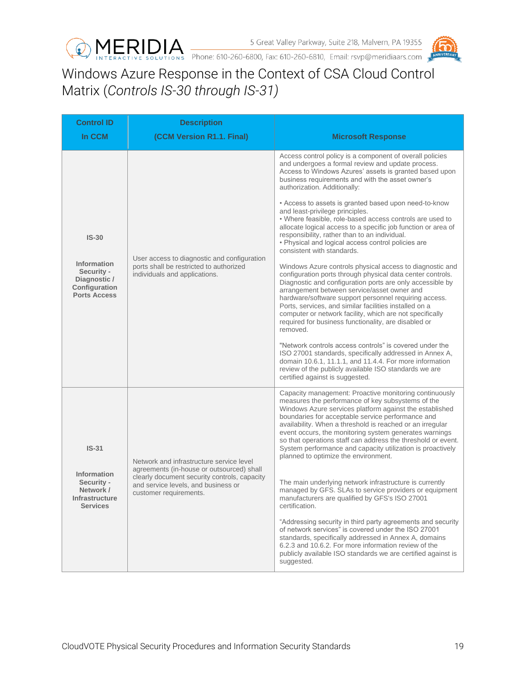



## <span id="page-18-0"></span>Windows Azure Response in the Context of CSA Cloud Control Matrix (*Controls IS-30 through IS-31)*

| <b>Control ID</b>                                                                                   | <b>Description</b>                                                                                                                                                                                     |                                                                                                                                                                                                                                                                                                                                                                                                                                                                                                                                                                                                                                                                                                                                                                                                                                                                                                                                                                                                                                                                                                                                                                                                                                                                                                                                                                                                 |
|-----------------------------------------------------------------------------------------------------|--------------------------------------------------------------------------------------------------------------------------------------------------------------------------------------------------------|-------------------------------------------------------------------------------------------------------------------------------------------------------------------------------------------------------------------------------------------------------------------------------------------------------------------------------------------------------------------------------------------------------------------------------------------------------------------------------------------------------------------------------------------------------------------------------------------------------------------------------------------------------------------------------------------------------------------------------------------------------------------------------------------------------------------------------------------------------------------------------------------------------------------------------------------------------------------------------------------------------------------------------------------------------------------------------------------------------------------------------------------------------------------------------------------------------------------------------------------------------------------------------------------------------------------------------------------------------------------------------------------------|
| In CCM                                                                                              | (CCM Version R1.1. Final)                                                                                                                                                                              | <b>Microsoft Response</b>                                                                                                                                                                                                                                                                                                                                                                                                                                                                                                                                                                                                                                                                                                                                                                                                                                                                                                                                                                                                                                                                                                                                                                                                                                                                                                                                                                       |
| $IS-30$<br><b>Information</b><br>Security -<br>Diagnostic /<br>Configuration<br><b>Ports Access</b> | User access to diagnostic and configuration<br>ports shall be restricted to authorized<br>individuals and applications.                                                                                | Access control policy is a component of overall policies<br>and undergoes a formal review and update process.<br>Access to Windows Azures' assets is granted based upon<br>business requirements and with the asset owner's<br>authorization. Additionally:<br>• Access to assets is granted based upon need-to-know<br>and least-privilege principles.<br>. Where feasible, role-based access controls are used to<br>allocate logical access to a specific job function or area of<br>responsibility, rather than to an individual.<br>• Physical and logical access control policies are<br>consistent with standards.<br>Windows Azure controls physical access to diagnostic and<br>configuration ports through physical data center controls.<br>Diagnostic and configuration ports are only accessible by<br>arrangement between service/asset owner and<br>hardware/software support personnel requiring access.<br>Ports, services, and similar facilities installed on a<br>computer or network facility, which are not specifically<br>required for business functionality, are disabled or<br>removed.<br>"Network controls access controls" is covered under the<br>ISO 27001 standards, specifically addressed in Annex A,<br>domain 10.6.1, 11.1.1, and 11.4.4. For more information<br>review of the publicly available ISO standards we are<br>certified against is suggested. |
| $IS-31$<br><b>Information</b><br>Security -<br>Network /<br>Infrastructure<br><b>Services</b>       | Network and infrastructure service level<br>agreements (in-house or outsourced) shall<br>clearly document security controls, capacity<br>and service levels, and business or<br>customer requirements. | Capacity management: Proactive monitoring continuously<br>measures the performance of key subsystems of the<br>Windows Azure services platform against the established<br>boundaries for acceptable service performance and<br>availability. When a threshold is reached or an irregular<br>event occurs, the monitoring system generates warnings<br>so that operations staff can address the threshold or event.<br>System performance and capacity utilization is proactively<br>planned to optimize the environment.<br>The main underlying network infrastructure is currently<br>managed by GFS. SLAs to service providers or equipment<br>manufacturers are qualified by GFS's ISO 27001<br>certification.<br>"Addressing security in third party agreements and security<br>of network services" is covered under the ISO 27001<br>standards, specifically addressed in Annex A, domains<br>6.2.3 and 10.6.2. For more information review of the<br>publicly available ISO standards we are certified against is<br>suggested.                                                                                                                                                                                                                                                                                                                                                          |